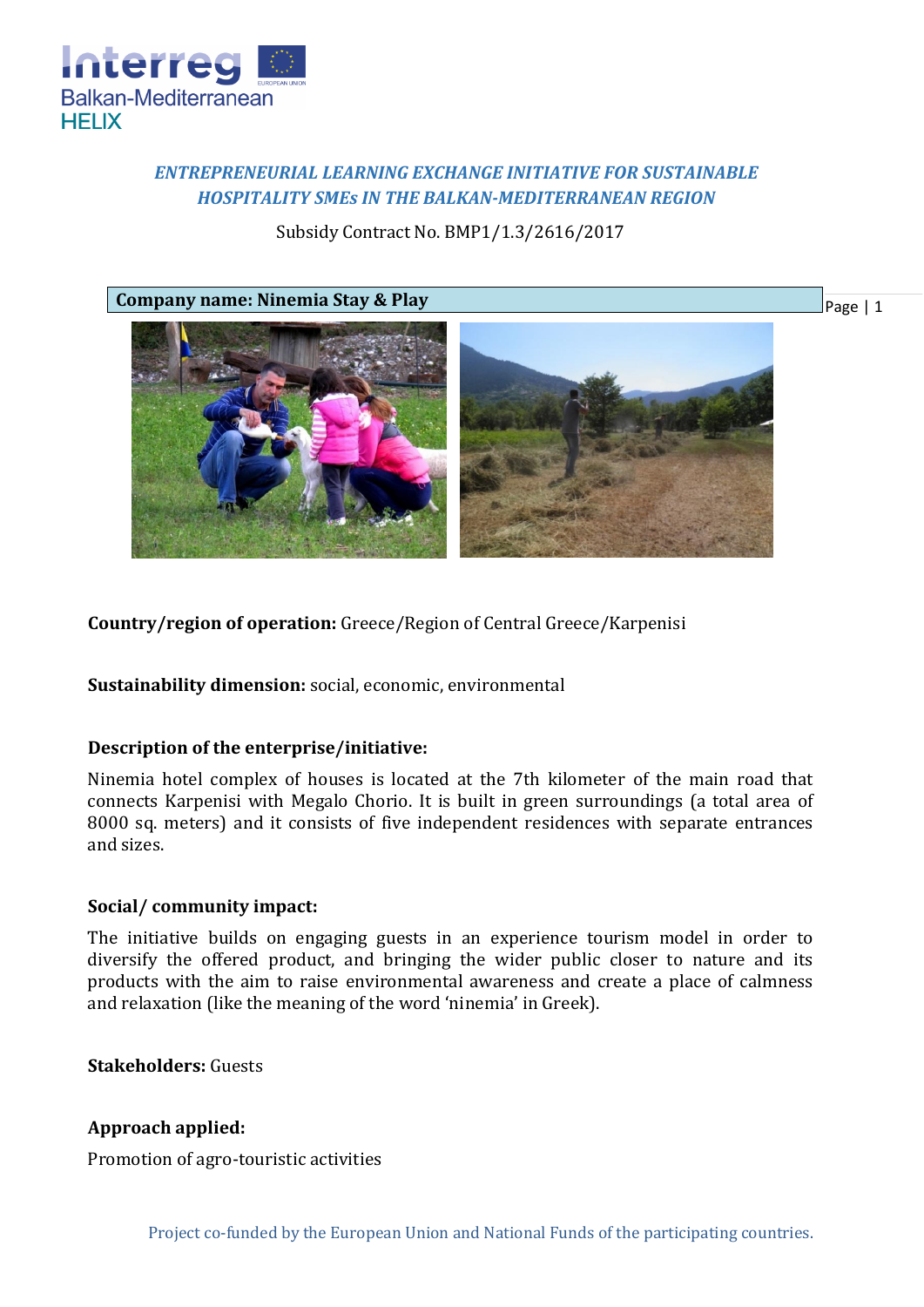

# *ENTREPRENEURIAL LEARNING EXCHANGE INITIATIVE FOR SUSTAINABLE HOSPITALITY SMEs IN THE BALKAN-MEDITERRANEAN REGION*

Subsidy Contract No. BMP1/1.3/2616/2017



**Country/region of operation:** Greece/Region of Central Greece/Karpenisi

**Sustainability dimension:** social, economic, environmental

## **Description of the enterprise/initiative:**

Ninemia hotel complex of houses is located at the 7th kilometer of the main road that connects Karpenisi with Megalo Chorio. It is built in green surroundings (a total area of 8000 sq. meters) and it consists of five independent residences with separate entrances and sizes.

## **Social/ community impact:**

The initiative builds on engaging guests in an experience tourism model in order to diversify the offered product, and bringing the wider public closer to nature and its products with the aim to raise environmental awareness and create a place of calmness and relaxation (like the meaning of the word 'ninemia' in Greek).

**Stakeholders:** Guests

## **Approach applied:**

Promotion of agro-touristic activities